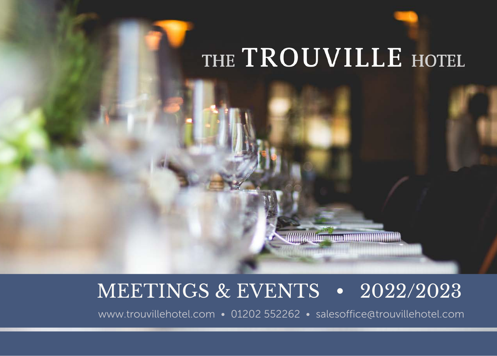# THE TROUVILLE HOTEL

**ANIMALA AND CONTINUES OF A SET OF A SET OF A SET OF A SET OF A SET OF A SET OF A SET OF A SET OF A SET OF A** 

## MEETINGS & EVENTS • 2022/2023

www.trouvillehotel.com • 01202 552262 • salesoffice@trouvillehotel.com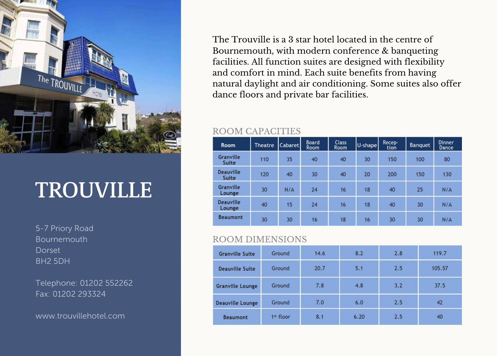

## **TROUVILLE**

5-7 Priory Road Bournemouth **Dorset** BH2 5DH

Telephone: 01202 552262 Fax: 01202 293324

www.trouvillehotel.com

The Trouville is a 3 star hotel located in the centre of Bournemouth, with modern conference & banqueting facilities. All function suites are designed with flexibility and comfort in mind. Each suite benefits from having natural daylight and air conditioning. Some suites also offer dance floors and private bar facilities.

#### ROOM CAPACITIES

| <b>Room</b>                | <b>Theatre</b> | Cabaret | <b>Board</b><br>Room | <b>Class</b><br>Room | U-shape | Recep-<br>tion | <b>Banquet</b> | <b>Dinner</b><br>Dance |
|----------------------------|----------------|---------|----------------------|----------------------|---------|----------------|----------------|------------------------|
| <b>Granville</b><br>Suite  | 110            | 35      | 40                   | 40                   | 30      | 150            | 100            | 80                     |
| <b>Deauville</b><br>Suite  | 120            | 40      | 30                   | 40                   | 20      | 200            | 150            | 130                    |
| <b>Granville</b><br>Lounge | 30             | N/A     | 24                   | 16                   | 18      | 40             | 25             | N/A                    |
| <b>Deauville</b><br>Lounge | 40             | 15      | 24                   | 16                   | 18      | 40             | 30             | N/A                    |
| <b>Beaumont</b>            | 30             | 30      | 16                   | 18                   | 16      | 30             | 30             | N/A                    |

#### ROOM DIMENSIONS

| <b>Granville Suite</b>  | Ground    | 14.6 | 8.2  | 2.8 | 119.7  |
|-------------------------|-----------|------|------|-----|--------|
| <b>Deauville Suite</b>  | Ground    | 20.7 | 5.1  | 2.5 | 105.57 |
| <b>Granville Lounge</b> | Ground    | 7.8  | 4.8  | 3.2 | 37.5   |
| <b>Deauville Lounge</b> | Ground    | 7.0  | 6.0  | 2.5 | 42     |
| <b>Beaumont</b>         | 1st floor | 8.1  | 6.20 | 2.5 | 40     |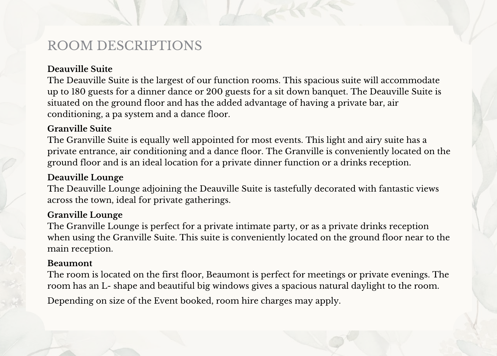## ROOM DESCRIPTIONS

#### **Deauville Suite**

The Deauville Suite is the largest of our function rooms. This spacious suite will accommodate up to 180 guests for a dinner dance or 200 guests for a sit down banquet. The Deauville Suite is situated on the ground floor and has the added advantage of having a private bar, air conditioning, a pa system and a dance floor.

#### **Granville Suite**

The Granville Suite is equally well appointed for most events. This light and airy suite has a private entrance, air conditioning and a dance floor. The Granville is conveniently located on the ground floor and is an ideal location for a private dinner function or a drinks reception.

#### **Deauville Lounge**

The Deauville Lounge adjoining the Deauville Suite is tastefully decorated with fantastic views across the town, ideal for private gatherings.

#### **Granville Lounge**

The Granville Lounge is perfect for a private intimate party, or as a private drinks reception when using the Granville Suite. This suite is conveniently located on the ground floor near to the main reception.

#### **Beaumont**

The room is located on the first floor, Beaumont is perfect for meetings or private evenings. The room has an L- shape and beautiful big windows gives a spacious natural daylight to the room. Depending on size of the Event booked, room hire charges may apply.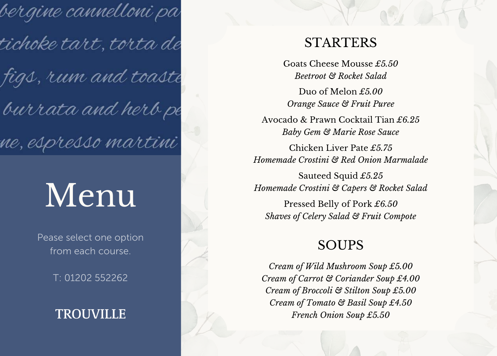bergine cannelloni pa tichoke tart, torta de figs, rum and toaste burrata and herb pe ne, espresso martini

# Menu

Pease select one option from each course.

T: 01202 552262

### **TROUVILLE**

### **STARTERS**

Goats Cheese Mousse *£5.50 Beetroot & Rocket Salad*

Duo of Melon *£5.00 Orange Sauce & Fruit Puree*

Avocado & Prawn Cocktail Tian *£6.25 Baby Gem & Marie Rose Sauce*

Chicken Liver Pate *£5.75 Homemade Crostini & Red Onion Marmalade*

Sauteed Squid *£5.25 Homemade Crostini & Capers & Rocket Salad*

Pressed Belly of Pork *£6.50 Shaves of Celery Salad & Fruit Compote*

### SOUPS

*Cream of Wild Mushroom Soup £5.00 Cream of Carrot & Coriander Soup £4.00 Cream of Broccoli & Stilton Soup £5.00 Cream of Tomato & Basil Soup £4.50 French Onion Soup £5.50*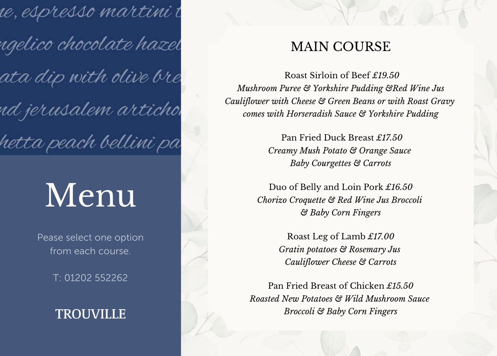ie, espresso martini t ngelico chocolate hazel ata dip with olive bre nd jerusalem articho hetta peach bellini pa

# Menu

Pease select one option from each course.

T: 01202 552262

## **TROUVILLE**

## MAIN COURSE

Roast Sirloin of Beef *£19.50 Mushroom Puree & Yorkshire Pudding &Red Wine Jus Cauliflower with Cheese & Green Beans or with Roast Gravy comes with Horseradish Sauce & Yorkshire Pudding*

> Pan Fried Duck Breast *£17.50 Creamy Mush Potato & Orange Sauce Baby Courgettes & Carrots*

Duo of Belly and Loin Pork *£16.50 Chorizo Croquette & Red Wine Jus Broccoli & Baby Corn Fingers*

> Roast Leg of Lamb *£17.00 Gratin potatoes & Rosemary Jus Cauliflower Cheese & Carrots*

Pan Fried Breast of Chicken *£15.50 Roasted New Potatoes & Wild Mushroom Sauce Broccoli & Baby Corn Fingers*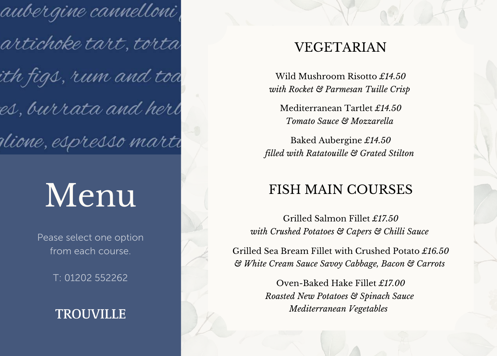aubergine cannelloni, artichoke tart, torta ith figs, rum and toa es, burrata and herl olione, espresso marti

# Menu

Pease select one option from each course.

T: 01202 552262

## **TROUVILLE**

## VEGETARIAN

Wild Mushroom Risotto *£14.50 with Rocket & Parmesan Tuille Crisp*

Mediterranean Tartlet *£14.50 Tomato Sauce & Mozzarella*

Baked Aubergine *£14.50 filled with Ratatouille & Grated Stilton*

## FISH MAIN COURSES

Grilled Salmon Fillet *£17.50 with Crushed Potatoes & Capers & Chilli Sauce*

Grilled Sea Bream Fillet with Crushed Potato *£16.50 & White Cream Sauce Savoy Cabbage, Bacon & Carrots*

> Oven-Baked Hake Fillet *£17.00 Roasted New Potatoes & Spinach Sauce Mediterranean Vegetables*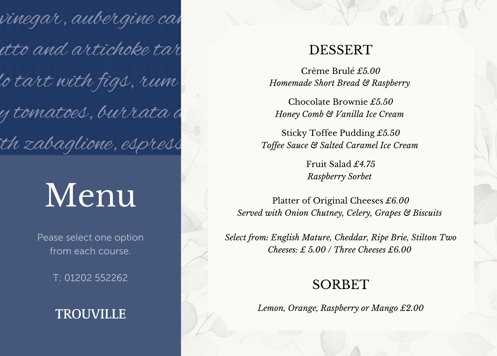vinegar, aubergine ca*v* itto and artichoke tar o tart with figs, rum y tomatoes, burrata d th zabaglione, espress

# Menu

Pease select one option from each course.

T: 01202 552262

### **TROUVILLE**

#### DESSERT

Crème Brulé *£5.00 Homemade Short Bread & Raspberry*

Chocolate Brownie *£5.50 Honey Comb & Vanilla Ice Cream*

Sticky Toffee Pudding *£5.50 Toffee Sauce & Salted Caramel Ice Cream*

> Fruit Salad *£4.75 Raspberry Sorbet*

Platter of Original Cheeses *£6.00 Served with Onion Chutney, Celery, Grapes & Biscuits*

*Select from: English Mature, Cheddar, Ripe Brie, Stilton Two Cheeses: £ 5.00 / Three Cheeses £6.00*

#### SORBET

*Lemon, Orange, Raspberry or Mango £2.00*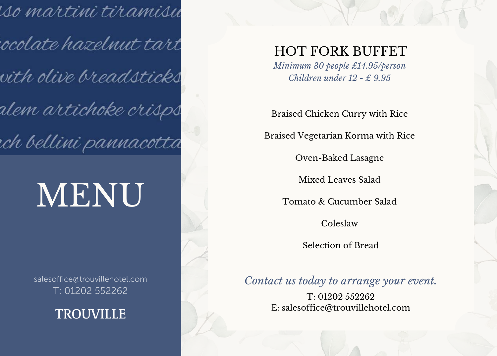iso martini tiramisu ocolate hazelnut tart vith olive breadsticks alem artichoke crisps rch bellini pannacotta

# MENU

salesoffice@trouvillehotel.com T: 01202 552262

**TROUVILLE** 

## HOT FORK BUFFET

*Minimum 30 people £14.95/person Children under 12 - £ 9.95*

Braised Chicken Curry with Rice

Braised Vegetarian Korma with Rice

Oven-Baked Lasagne

Mixed Leaves Salad

Tomato & Cucumber Salad

Coleslaw

Selection of Bread

*Contact us today to arrange your event.*

T: 01202 552262 E: salesoffice@trouvillehotel.com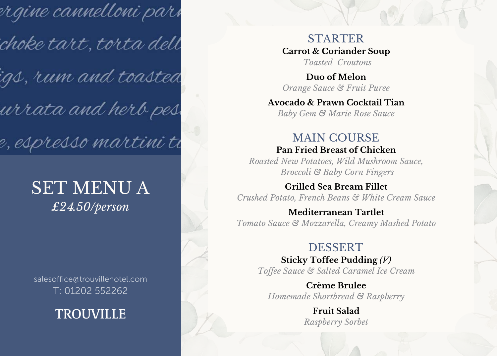rrgine cannelloni pari choke tart, torta dell igs, r*um and toasted* urrata and herb pes e, espresso martini ti

## SET MENU A *£2*4*.50/person*

salesoffice@trouvillehotel.com T: 01202 552262

**TROUVILLE** 

STARTER **Carrot & Coriander Soup** *Toasted Croutons*

**Duo of Melon** *Orange Sauce & Fruit Puree*

**Avocado & Prawn Cocktail Tian**

*Baby Gem & Marie Rose Sauce*

#### MAIN COURSE **Pan Fried Breast of Chicken**

*Roasted New Potatoes, Wild Mushroom Sauce, Broccoli & Baby Corn Fingers*

**Grilled Sea Bream Fillet**

*Crushed Potato, French Beans & White Cream Sauce*

#### **Mediterranean Tartlet** *Tomato Sauce & Mozzarella, Creamy Mashed Potato*

#### DESSERT

**Sticky Toffee Pudding** *(V) Toffee Sauce & Salted Caramel Ice Cream*

**Crème Brulee** *Homemade Shortbread & Raspberry*

> **Fruit Salad** *Raspberry Sorbet*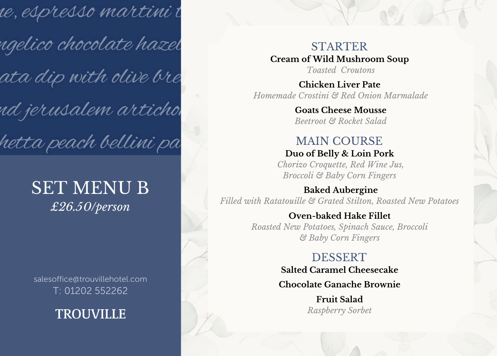re, espresso martini t ngelico chocolate hazel ata dip with olive bre nd jerusalem articho hetta peach bellini pa

## SET MENU B *£*26*.*50*/person*

salesoffice@trouvillehotel.com T: 01202 552262

**TROUVILLE** 

STARTER **Cream of Wild Mushroom Soup** *Toasted Croutons*

**Chicken Liver Pate** *Homemade Crostini & Red Onion Marmalade*

> **Goats Cheese Mousse** *Beetroot & Rocket Salad*

#### MAIN COURSE **Duo of Belly & Loin Pork**

*Chorizo Croquette, Red Wine Jus, Broccoli & Baby Corn Fingers*

**Baked Aubergine** *Filled with Ratatouille & Grated Stilton, Roasted New Potatoes*

#### **Oven-baked Hake Fillet** *Roasted New Potatoes, Spinach Sauce, Broccoli & Baby Corn Fingers*

#### DESSERT **Salted Caramel Cheesecake Chocolate Ganache Brownie**

**Fruit Salad** *Raspberry Sorbet*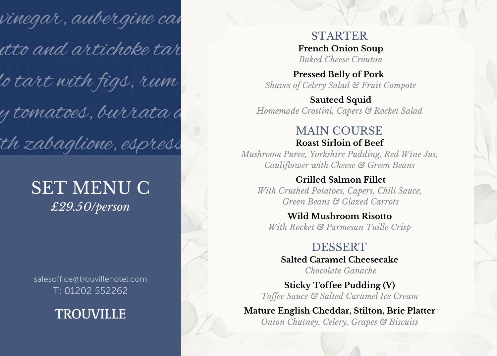vinegar, aubergine ca*v* itto and artichoke tar 'o tart with figs, r*u*m y tomatoes, burrata d th zabaglione, espress

## SET MENU C *£*29*.*50*/person*

salesoffice@trouvillehotel.com T: 01202 552262

**TROUVILLE** 

STARTER **French Onion Soup** *Baked Cheese Crouton*

**Pressed Belly of Pork** *Shaves of Celery Salad & Fruit Compote*

**Sauteed Squid** *Homemade Crostini, Capers & Rocket Salad*

#### MAIN COURSE **Roast Sirloin of Beef**

*Mushroom Puree, Yorkshire Pudding, Red Wine Jus, Cauliflower with Cheese & Green Beans*

#### **Grilled Salmon Fillet**

*With Crushed Potatoes, Capers, Chili Sauce, Green Beans & Glazed Carrots*

**Wild Mushroom Risotto** *With Rocket & Parmesan Tuille Crisp*

#### DESSERT **Salted Caramel Cheesecake**

*Chocolate Ganache*

**Sticky Toffee Pudding (V)** *Toffee Sauce & Salted Caramel Ice Cream*

**Mature English Cheddar, Stilton, Brie Platter** *Onion Chutney, Celery, Grapes & Biscuits*